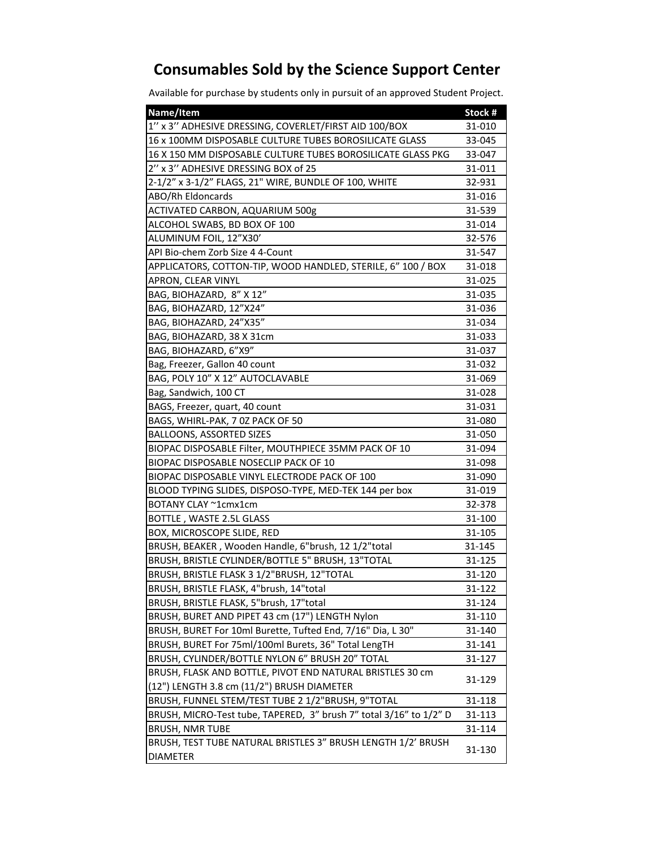## **Consumables Sold by the Science Support Center**

Available for purchase by students only in pursuit of an approved Student Project.

| Name/Item                                                                       | Stock # |
|---------------------------------------------------------------------------------|---------|
| 1" x 3" ADHESIVE DRESSING, COVERLET/FIRST AID 100/BOX                           | 31-010  |
| 16 x 100MM DISPOSABLE CULTURE TUBES BOROSILICATE GLASS                          | 33-045  |
| 16 X 150 MM DISPOSABLE CULTURE TUBES BOROSILICATE GLASS PKG                     | 33-047  |
| 2" x 3" ADHESIVE DRESSING BOX of 25                                             | 31-011  |
| 2-1/2" x 3-1/2" FLAGS, 21" WIRE, BUNDLE OF 100, WHITE                           | 32-931  |
| ABO/Rh Eldoncards                                                               | 31-016  |
| ACTIVATED CARBON, AQUARIUM 500g                                                 | 31-539  |
| ALCOHOL SWABS, BD BOX OF 100                                                    | 31-014  |
| ALUMINUM FOIL, 12"X30'                                                          | 32-576  |
| API Bio-chem Zorb Size 4 4-Count                                                | 31-547  |
| APPLICATORS, COTTON-TIP, WOOD HANDLED, STERILE, 6" 100 / BOX                    | 31-018  |
| APRON, CLEAR VINYL                                                              | 31-025  |
| BAG, BIOHAZARD, 8" X 12"                                                        | 31-035  |
| BAG, BIOHAZARD, 12"X24"                                                         | 31-036  |
| BAG, BIOHAZARD, 24"X35"                                                         | 31-034  |
| BAG, BIOHAZARD, 38 X 31cm                                                       | 31-033  |
| BAG, BIOHAZARD, 6"X9"                                                           | 31-037  |
| Bag, Freezer, Gallon 40 count                                                   | 31-032  |
| BAG, POLY 10" X 12" AUTOCLAVABLE                                                | 31-069  |
| Bag, Sandwich, 100 CT                                                           | 31-028  |
| BAGS, Freezer, quart, 40 count                                                  | 31-031  |
| BAGS, WHIRL-PAK, 7 0Z PACK OF 50                                                | 31-080  |
| BALLOONS, ASSORTED SIZES                                                        | 31-050  |
| BIOPAC DISPOSABLE Filter, MOUTHPIECE 35MM PACK OF 10                            | 31-094  |
| BIOPAC DISPOSABLE NOSECLIP PACK OF 10                                           | 31-098  |
| BIOPAC DISPOSABLE VINYL ELECTRODE PACK OF 100                                   | 31-090  |
| BLOOD TYPING SLIDES, DISPOSO-TYPE, MED-TEK 144 per box                          | 31-019  |
| BOTANY CLAY ~1cmx1cm                                                            | 32-378  |
| BOTTLE, WASTE 2.5L GLASS                                                        | 31-100  |
| BOX, MICROSCOPE SLIDE, RED                                                      | 31-105  |
| BRUSH, BEAKER, Wooden Handle, 6"brush, 12 1/2"total                             | 31-145  |
| BRUSH, BRISTLE CYLINDER/BOTTLE 5" BRUSH, 13"TOTAL                               | 31-125  |
| BRUSH, BRISTLE FLASK 3 1/2"BRUSH, 12"TOTAL                                      | 31-120  |
| BRUSH, BRISTLE FLASK, 4"brush, 14"total                                         | 31-122  |
| BRUSH, BRISTLE FLASK, 5"brush, 17"total                                         | 31-124  |
| BRUSH, BURET AND PIPET 43 cm (17") LENGTH Nylon                                 | 31-110  |
| BRUSH, BURET For 10ml Burette, Tufted End, 7/16" Dia, L 30"                     | 31-140  |
| BRUSH, BURET For 75ml/100ml Burets, 36" Total LengTH                            | 31-141  |
| BRUSH, CYLINDER/BOTTLE NYLON 6" BRUSH 20" TOTAL                                 | 31-127  |
| BRUSH, FLASK AND BOTTLE, PIVOT END NATURAL BRISTLES 30 cm                       | 31-129  |
| (12") LENGTH 3.8 cm (11/2") BRUSH DIAMETER                                      |         |
| BRUSH, FUNNEL STEM/TEST TUBE 2 1/2"BRUSH, 9"TOTAL                               | 31-118  |
| BRUSH, MICRO-Test tube, TAPERED, 3" brush 7" total 3/16" to 1/2" D              | 31-113  |
| <b>BRUSH, NMR TUBE</b>                                                          | 31-114  |
| BRUSH, TEST TUBE NATURAL BRISTLES 3" BRUSH LENGTH 1/2' BRUSH<br><b>DIAMETER</b> | 31-130  |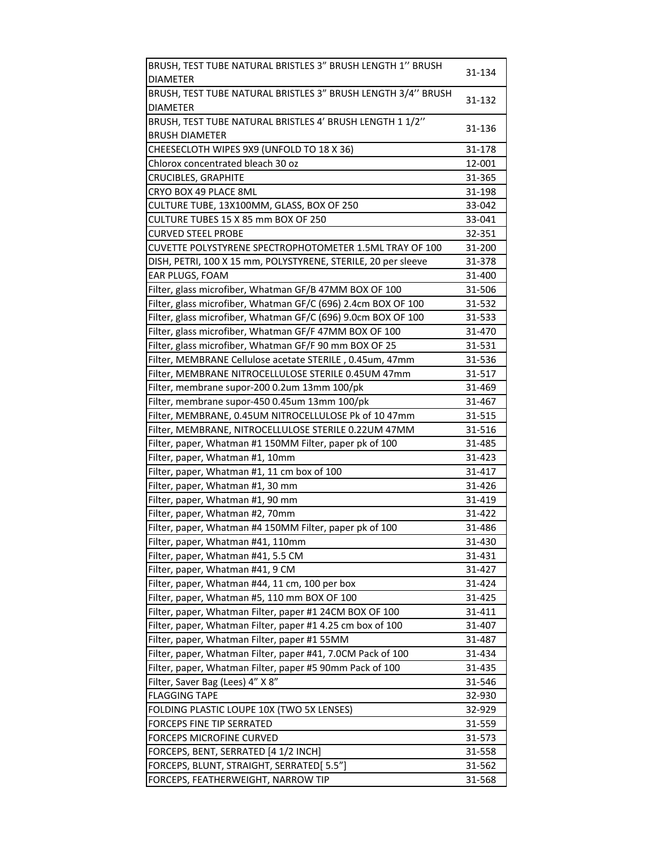| BRUSH, TEST TUBE NATURAL BRISTLES 3" BRUSH LENGTH 1" BRUSH    | 31-134 |
|---------------------------------------------------------------|--------|
| <b>DIAMETER</b>                                               |        |
| BRUSH, TEST TUBE NATURAL BRISTLES 3" BRUSH LENGTH 3/4" BRUSH  |        |
| <b>DIAMETER</b>                                               | 31-132 |
| BRUSH, TEST TUBE NATURAL BRISTLES 4' BRUSH LENGTH 1 1/2"      |        |
| <b>BRUSH DIAMETER</b>                                         | 31-136 |
| CHEESECLOTH WIPES 9X9 (UNFOLD TO 18 X 36)                     | 31-178 |
| Chlorox concentrated bleach 30 oz                             | 12-001 |
| <b>CRUCIBLES, GRAPHITE</b>                                    | 31-365 |
| CRYO BOX 49 PLACE 8ML                                         | 31-198 |
| CULTURE TUBE, 13X100MM, GLASS, BOX OF 250                     | 33-042 |
| CULTURE TUBES 15 X 85 mm BOX OF 250                           | 33-041 |
| <b>CURVED STEEL PROBE</b>                                     | 32-351 |
| CUVETTE POLYSTYRENE SPECTROPHOTOMETER 1.5ML TRAY OF 100       | 31-200 |
| DISH, PETRI, 100 X 15 mm, POLYSTYRENE, STERILE, 20 per sleeve | 31-378 |
| EAR PLUGS, FOAM                                               | 31-400 |
| Filter, glass microfiber, Whatman GF/B 47MM BOX OF 100        | 31-506 |
| Filter, glass microfiber, Whatman GF/C (696) 2.4cm BOX OF 100 | 31-532 |
| Filter, glass microfiber, Whatman GF/C (696) 9.0cm BOX OF 100 | 31-533 |
| Filter, glass microfiber, Whatman GF/F 47MM BOX OF 100        | 31-470 |
| Filter, glass microfiber, Whatman GF/F 90 mm BOX OF 25        | 31-531 |
| Filter, MEMBRANE Cellulose acetate STERILE, 0.45um, 47mm      | 31-536 |
| Filter, MEMBRANE NITROCELLULOSE STERILE 0.45UM 47mm           | 31-517 |
| Filter, membrane supor-200 0.2um 13mm 100/pk                  | 31-469 |
| Filter, membrane supor-450 0.45um 13mm 100/pk                 | 31-467 |
| Filter, MEMBRANE, 0.45UM NITROCELLULOSE Pk of 10 47mm         | 31-515 |
| Filter, MEMBRANE, NITROCELLULOSE STERILE 0.22UM 47MM          | 31-516 |
| Filter, paper, Whatman #1 150MM Filter, paper pk of 100       | 31-485 |
| Filter, paper, Whatman #1, 10mm                               | 31-423 |
| Filter, paper, Whatman #1, 11 cm box of 100                   | 31-417 |
| Filter, paper, Whatman #1, 30 mm                              | 31-426 |
| Filter, paper, Whatman #1, 90 mm                              | 31-419 |
| Filter, paper, Whatman #2, 70mm                               | 31-422 |
| Filter, paper, Whatman #4 150MM Filter, paper pk of 100       | 31-486 |
| Filter, paper, Whatman #41, 110mm                             | 31-430 |
| Filter, paper, Whatman #41, 5.5 CM                            | 31-431 |
| Filter, paper, Whatman #41, 9 CM                              | 31-427 |
| Filter, paper, Whatman #44, 11 cm, 100 per box                | 31-424 |
| Filter, paper, Whatman #5, 110 mm BOX OF 100                  | 31-425 |
| Filter, paper, Whatman Filter, paper #1 24CM BOX OF 100       | 31-411 |
| Filter, paper, Whatman Filter, paper #1 4.25 cm box of 100    | 31-407 |
| Filter, paper, Whatman Filter, paper #1 55MM                  | 31-487 |
| Filter, paper, Whatman Filter, paper #41, 7.0CM Pack of 100   | 31-434 |
| Filter, paper, Whatman Filter, paper #5 90mm Pack of 100      | 31-435 |
| Filter, Saver Bag (Lees) 4" X 8"                              | 31-546 |
| <b>FLAGGING TAPE</b>                                          | 32-930 |
| FOLDING PLASTIC LOUPE 10X (TWO 5X LENSES)                     | 32-929 |
| FORCEPS FINE TIP SERRATED                                     | 31-559 |
| <b>FORCEPS MICROFINE CURVED</b>                               | 31-573 |
| FORCEPS, BENT, SERRATED [4 1/2 INCH]                          | 31-558 |
| FORCEPS, BLUNT, STRAIGHT, SERRATED[ 5.5"]                     | 31-562 |
| FORCEPS, FEATHERWEIGHT, NARROW TIP                            | 31-568 |
|                                                               |        |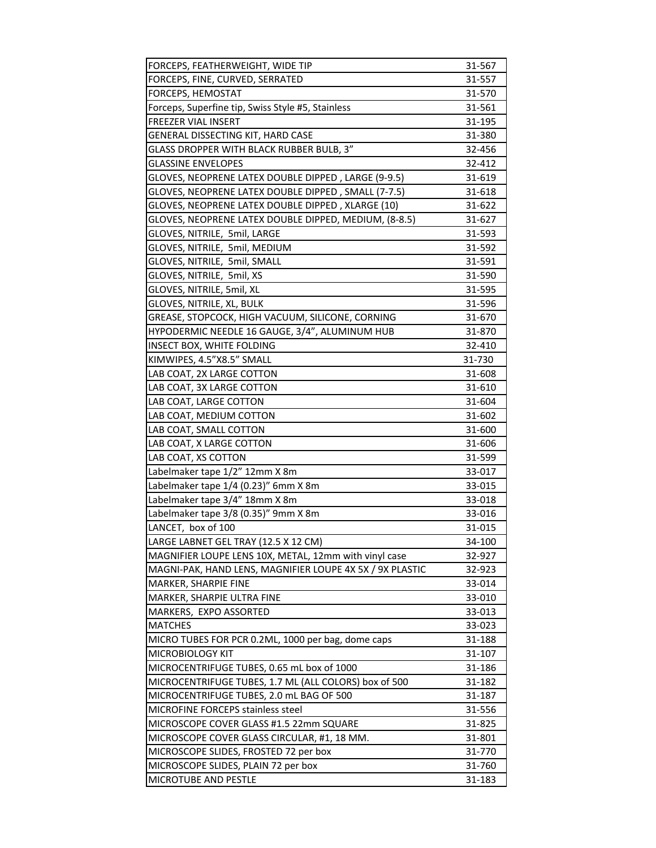| FORCEPS, FEATHERWEIGHT, WIDE TIP                         | 31-567 |
|----------------------------------------------------------|--------|
| FORCEPS, FINE, CURVED, SERRATED                          | 31-557 |
| FORCEPS, HEMOSTAT                                        | 31-570 |
| Forceps, Superfine tip, Swiss Style #5, Stainless        | 31-561 |
| FREEZER VIAL INSERT                                      | 31-195 |
| GENERAL DISSECTING KIT, HARD CASE                        | 31-380 |
| GLASS DROPPER WITH BLACK RUBBER BULB, 3"                 | 32-456 |
| <b>GLASSINE ENVELOPES</b>                                | 32-412 |
| GLOVES, NEOPRENE LATEX DOUBLE DIPPED, LARGE (9-9.5)      | 31-619 |
| GLOVES, NEOPRENE LATEX DOUBLE DIPPED, SMALL (7-7.5)      | 31-618 |
| GLOVES, NEOPRENE LATEX DOUBLE DIPPED, XLARGE (10)        | 31-622 |
| GLOVES, NEOPRENE LATEX DOUBLE DIPPED, MEDIUM, (8-8.5)    | 31-627 |
| GLOVES, NITRILE, 5mil, LARGE                             | 31-593 |
| GLOVES, NITRILE, 5mil, MEDIUM                            | 31-592 |
| GLOVES, NITRILE, 5mil, SMALL                             | 31-591 |
| GLOVES, NITRILE, 5mil, XS                                | 31-590 |
| GLOVES, NITRILE, 5mil, XL                                | 31-595 |
| GLOVES, NITRILE, XL, BULK                                | 31-596 |
| GREASE, STOPCOCK, HIGH VACUUM, SILICONE, CORNING         | 31-670 |
| HYPODERMIC NEEDLE 16 GAUGE, 3/4", ALUMINUM HUB           | 31-870 |
| INSECT BOX, WHITE FOLDING                                | 32-410 |
| KIMWIPES, 4.5"X8.5" SMALL                                | 31-730 |
| LAB COAT, 2X LARGE COTTON                                | 31-608 |
| LAB COAT, 3X LARGE COTTON                                | 31-610 |
| LAB COAT, LARGE COTTON                                   | 31-604 |
| LAB COAT, MEDIUM COTTON                                  | 31-602 |
| LAB COAT, SMALL COTTON                                   | 31-600 |
| LAB COAT, X LARGE COTTON                                 | 31-606 |
| LAB COAT, XS COTTON                                      | 31-599 |
| Labelmaker tape 1/2" 12mm X 8m                           | 33-017 |
| Labelmaker tape 1/4 (0.23)" 6mm X 8m                     | 33-015 |
| Labelmaker tape 3/4" 18mm X 8m                           | 33-018 |
| Labelmaker tape 3/8 (0.35)" 9mm X 8m                     | 33-016 |
| LANCET, box of 100                                       | 31-015 |
| LARGE LABNET GEL TRAY (12.5 X 12 CM)                     | 34-100 |
| MAGNIFIER LOUPE LENS 10X, METAL, 12mm with vinyl case    | 32-927 |
| MAGNI-PAK, HAND LENS, MAGNIFIER LOUPE 4X 5X / 9X PLASTIC | 32-923 |
| MARKER, SHARPIE FINE                                     | 33-014 |
| MARKER, SHARPIE ULTRA FINE                               | 33-010 |
| MARKERS, EXPO ASSORTED                                   | 33-013 |
| <b>MATCHES</b>                                           | 33-023 |
| MICRO TUBES FOR PCR 0.2ML, 1000 per bag, dome caps       | 31-188 |
| MICROBIOLOGY KIT                                         | 31-107 |
| MICROCENTRIFUGE TUBES, 0.65 mL box of 1000               | 31-186 |
| MICROCENTRIFUGE TUBES, 1.7 ML (ALL COLORS) box of 500    | 31-182 |
| MICROCENTRIFUGE TUBES, 2.0 mL BAG OF 500                 | 31-187 |
| <b>MICROFINE FORCEPS stainless steel</b>                 | 31-556 |
| MICROSCOPE COVER GLASS #1.5 22mm SQUARE                  | 31-825 |
| MICROSCOPE COVER GLASS CIRCULAR, #1, 18 MM.              | 31-801 |
| MICROSCOPE SLIDES, FROSTED 72 per box                    | 31-770 |
| MICROSCOPE SLIDES, PLAIN 72 per box                      | 31-760 |
| MICROTUBE AND PESTLE                                     | 31-183 |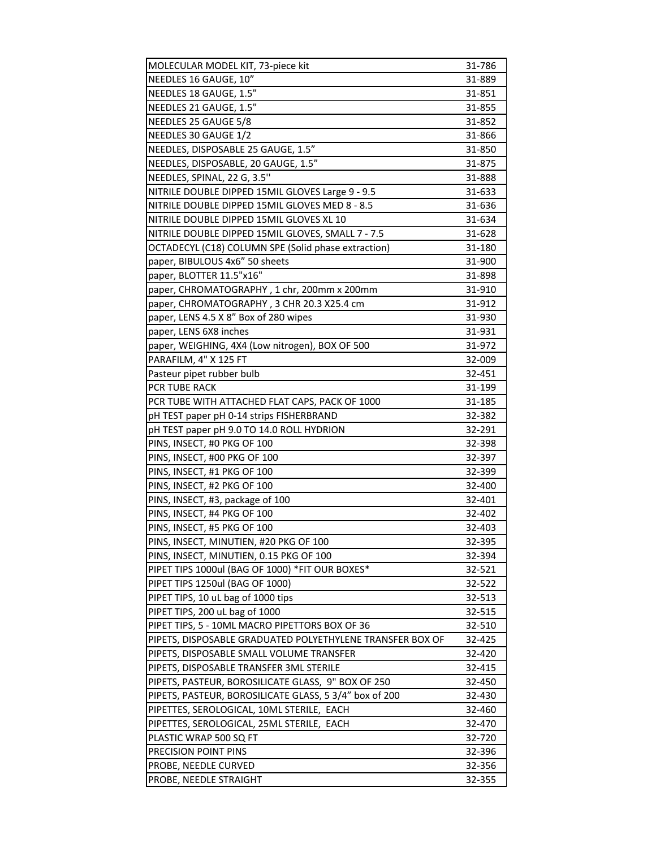| MOLECULAR MODEL KIT, 73-piece kit                         | 31-786           |
|-----------------------------------------------------------|------------------|
| NEEDLES 16 GAUGE, 10"                                     | 31-889           |
| NEEDLES 18 GAUGE, 1.5"                                    | 31-851           |
| NEEDLES 21 GAUGE, 1.5"                                    | 31-855           |
| NEEDLES 25 GAUGE 5/8                                      | 31-852           |
| NEEDLES 30 GAUGE 1/2                                      | 31-866           |
| NEEDLES, DISPOSABLE 25 GAUGE, 1.5"                        | 31-850           |
| NEEDLES, DISPOSABLE, 20 GAUGE, 1.5"                       | 31-875           |
| NEEDLES, SPINAL, 22 G, 3.5"                               | 31-888           |
| NITRILE DOUBLE DIPPED 15MIL GLOVES Large 9 - 9.5          | 31-633           |
| NITRILE DOUBLE DIPPED 15MIL GLOVES MED 8 - 8.5            | 31-636           |
| NITRILE DOUBLE DIPPED 15MIL GLOVES XL 10                  | 31-634           |
| NITRILE DOUBLE DIPPED 15MIL GLOVES, SMALL 7 - 7.5         | 31-628           |
| OCTADECYL (C18) COLUMN SPE (Solid phase extraction)       | 31-180           |
| paper, BIBULOUS 4x6" 50 sheets                            | 31-900           |
| paper, BLOTTER 11.5"x16"                                  | 31-898           |
| paper, CHROMATOGRAPHY, 1 chr, 200mm x 200mm               | 31-910           |
| paper, CHROMATOGRAPHY, 3 CHR 20.3 X25.4 cm                | 31-912           |
| paper, LENS 4.5 X 8" Box of 280 wipes                     | 31-930           |
| paper, LENS 6X8 inches                                    | 31-931           |
| paper, WEIGHING, 4X4 (Low nitrogen), BOX OF 500           | 31-972           |
| PARAFILM, 4" X 125 FT                                     | 32-009           |
| Pasteur pipet rubber bulb                                 | 32-451           |
| PCR TUBE RACK                                             | 31-199           |
| PCR TUBE WITH ATTACHED FLAT CAPS, PACK OF 1000            | 31-185           |
| pH TEST paper pH 0-14 strips FISHERBRAND                  | 32-382           |
| pH TEST paper pH 9.0 TO 14.0 ROLL HYDRION                 | 32-291           |
| PINS, INSECT, #0 PKG OF 100                               | 32-398           |
| PINS, INSECT, #00 PKG OF 100                              | 32-397           |
| PINS, INSECT, #1 PKG OF 100                               | 32-399           |
| PINS, INSECT, #2 PKG OF 100                               | 32-400           |
| PINS, INSECT, #3, package of 100                          | 32-401           |
| PINS, INSECT, #4 PKG OF 100                               | 32-402           |
| PINS, INSECT, #5 PKG OF 100                               | 32-403           |
| PINS, INSECT, MINUTIEN, #20 PKG OF 100                    | 32-395           |
| PINS, INSECT, MINUTIEN, 0.15 PKG OF 100                   | 32-394           |
| PIPET TIPS 1000ul (BAG OF 1000) *FIT OUR BOXES*           | 32-521           |
| PIPET TIPS 1250ul (BAG OF 1000)                           | 32-522           |
| PIPET TIPS, 10 uL bag of 1000 tips                        | 32-513           |
| PIPET TIPS, 200 uL bag of 1000                            | 32-515           |
| PIPET TIPS, 5 - 10ML MACRO PIPETTORS BOX OF 36            | 32-510           |
| PIPETS, DISPOSABLE GRADUATED POLYETHYLENE TRANSFER BOX OF | 32-425           |
| PIPETS, DISPOSABLE SMALL VOLUME TRANSFER                  | 32-420           |
| PIPETS, DISPOSABLE TRANSFER 3ML STERILE                   | 32-415           |
| PIPETS, PASTEUR, BOROSILICATE GLASS, 9" BOX OF 250        |                  |
| PIPETS, PASTEUR, BOROSILICATE GLASS, 5 3/4" box of 200    | 32-450<br>32-430 |
|                                                           |                  |
| PIPETTES, SEROLOGICAL, 10ML STERILE, EACH                 | 32-460           |
| PIPETTES, SEROLOGICAL, 25ML STERILE, EACH                 | 32-470           |
| PLASTIC WRAP 500 SQ FT                                    | 32-720           |
| PRECISION POINT PINS                                      | 32-396           |
| PROBE, NEEDLE CURVED                                      | 32-356           |
| PROBE, NEEDLE STRAIGHT                                    | 32-355           |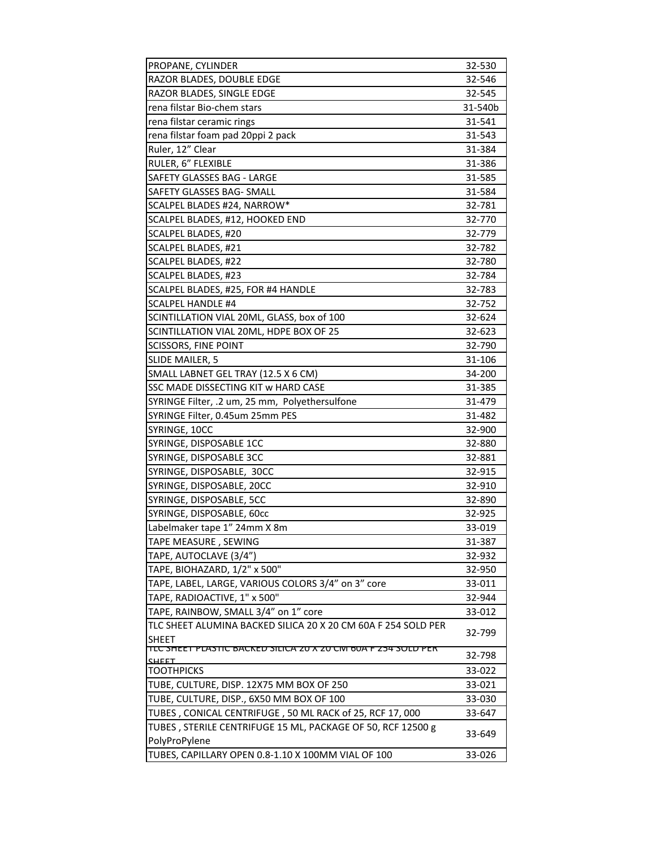| PROPANE, CYLINDER                                                                     | 32-530  |
|---------------------------------------------------------------------------------------|---------|
| RAZOR BLADES, DOUBLE EDGE                                                             | 32-546  |
| RAZOR BLADES, SINGLE EDGE                                                             | 32-545  |
| rena filstar Bio-chem stars                                                           | 31-540b |
| rena filstar ceramic rings                                                            | 31-541  |
| rena filstar foam pad 20ppi 2 pack                                                    | 31-543  |
| Ruler, 12" Clear                                                                      | 31-384  |
| RULER, 6" FLEXIBLE                                                                    | 31-386  |
| SAFETY GLASSES BAG - LARGE                                                            | 31-585  |
| SAFETY GLASSES BAG- SMALL                                                             | 31-584  |
| SCALPEL BLADES #24, NARROW*                                                           | 32-781  |
| SCALPEL BLADES, #12, HOOKED END                                                       | 32-770  |
| SCALPEL BLADES, #20                                                                   | 32-779  |
| SCALPEL BLADES, #21                                                                   | 32-782  |
| SCALPEL BLADES, #22                                                                   | 32-780  |
| SCALPEL BLADES, #23                                                                   | 32-784  |
| SCALPEL BLADES, #25, FOR #4 HANDLE                                                    | 32-783  |
| <b>SCALPEL HANDLE #4</b>                                                              | 32-752  |
| SCINTILLATION VIAL 20ML, GLASS, box of 100                                            | 32-624  |
| SCINTILLATION VIAL 20ML, HDPE BOX OF 25                                               | 32-623  |
| <b>SCISSORS, FINE POINT</b>                                                           | 32-790  |
| SLIDE MAILER, 5                                                                       | 31-106  |
| SMALL LABNET GEL TRAY (12.5 X 6 CM)                                                   | 34-200  |
| SSC MADE DISSECTING KIT w HARD CASE                                                   | 31-385  |
| SYRINGE Filter, .2 um, 25 mm, Polyethersulfone                                        | 31-479  |
| SYRINGE Filter, 0.45um 25mm PES                                                       | 31-482  |
| SYRINGE, 10CC                                                                         | 32-900  |
| SYRINGE, DISPOSABLE 1CC                                                               | 32-880  |
| SYRINGE, DISPOSABLE 3CC                                                               | 32-881  |
| SYRINGE, DISPOSABLE, 30CC                                                             | 32-915  |
| SYRINGE, DISPOSABLE, 20CC                                                             | 32-910  |
| SYRINGE, DISPOSABLE, 5CC                                                              | 32-890  |
| SYRINGE, DISPOSABLE, 60cc                                                             | 32-925  |
| Labelmaker tape 1" 24mm X 8m                                                          | 33-019  |
| TAPE MEASURE , SEWING                                                                 | 31-387  |
| TAPE, AUTOCLAVE (3/4")                                                                | 32-932  |
| TAPE, BIOHAZARD, 1/2" x 500"                                                          | 32-950  |
| TAPE, LABEL, LARGE, VARIOUS COLORS 3/4" on 3" core                                    | 33-011  |
| TAPE, RADIOACTIVE, 1" x 500"                                                          | 32-944  |
| TAPE, RAINBOW, SMALL 3/4" on 1" core                                                  | 33-012  |
| TLC SHEET ALUMINA BACKED SILICA 20 X 20 CM 60A F 254 SOLD PER                         | 32-799  |
| <b>SHEET</b>                                                                          |         |
| <u>TLU SHEET PLASTIU BAUKED SILIUA ZU X ZU UNI 60A F Z54 SULD PER</u><br><u>SHEET</u> | 32-798  |
| <b>TOOTHPICKS</b>                                                                     | 33-022  |
| TUBE, CULTURE, DISP. 12X75 MM BOX OF 250                                              | 33-021  |
| TUBE, CULTURE, DISP., 6X50 MM BOX OF 100                                              | 33-030  |
| TUBES, CONICAL CENTRIFUGE, 50 ML RACK of 25, RCF 17, 000                              | 33-647  |
| TUBES, STERILE CENTRIFUGE 15 ML, PACKAGE OF 50, RCF 12500 g                           | 33-649  |
| PolyProPylene                                                                         |         |
| TUBES, CAPILLARY OPEN 0.8-1.10 X 100MM VIAL OF 100                                    | 33-026  |